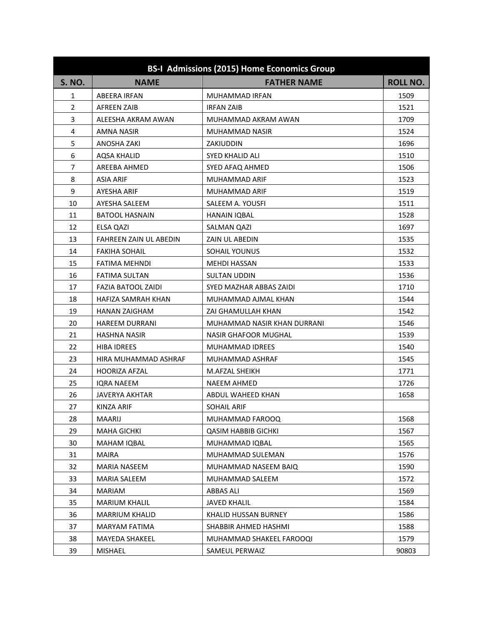| <b>BS-I Admissions (2015) Home Economics Group</b> |                        |                             |                 |  |
|----------------------------------------------------|------------------------|-----------------------------|-----------------|--|
| <b>S. NO.</b>                                      | <b>NAME</b>            | <b>FATHER NAME</b>          | <b>ROLL NO.</b> |  |
| 1                                                  | ABEERA IRFAN           | MUHAMMAD IRFAN              | 1509            |  |
| $\overline{2}$                                     | AFREEN ZAIB            | <b>IRFAN ZAIB</b>           | 1521            |  |
| 3                                                  | ALEESHA AKRAM AWAN     | MUHAMMAD AKRAM AWAN         | 1709            |  |
| 4                                                  | AMNA NASIR             | MUHAMMAD NASIR              | 1524            |  |
| 5                                                  | ANOSHA ZAKI            | ZAKIUDDIN                   | 1696            |  |
| 6                                                  | <b>AQSA KHALID</b>     | <b>SYED KHALID ALI</b>      | 1510            |  |
| $\overline{7}$                                     | AREEBA AHMED           | SYED AFAQ AHMED             | 1506            |  |
| 8                                                  | <b>ASIA ARIF</b>       | MUHAMMAD ARIF               | 1523            |  |
| 9                                                  | AYESHA ARIF            | MUHAMMAD ARIF               | 1519            |  |
| 10                                                 | AYESHA SALEEM          | SALEEM A. YOUSFI            | 1511            |  |
| 11                                                 | <b>BATOOL HASNAIN</b>  | <b>HANAIN IQBAL</b>         | 1528            |  |
| 12                                                 | ELSA QAZI              | SALMAN QAZI                 | 1697            |  |
| 13                                                 | FAHREEN ZAIN UL ABEDIN | <b>ZAIN UL ABEDIN</b>       | 1535            |  |
| 14                                                 | FAKIHA SOHAIL          | SOHAIL YOUNUS               | 1532            |  |
| 15                                                 | FATIMA MEHNDI          | <b>MEHDI HASSAN</b>         | 1533            |  |
| 16                                                 | <b>FATIMA SULTAN</b>   | <b>SULTAN UDDIN</b>         | 1536            |  |
| 17                                                 | FAZIA BATOOL ZAIDI     | SYED MAZHAR ABBAS ZAIDI     | 1710            |  |
| 18                                                 | HAFIZA SAMRAH KHAN     | MUHAMMAD AJMAL KHAN         | 1544            |  |
| 19                                                 | <b>HANAN ZAIGHAM</b>   | ZAI GHAMULLAH KHAN          | 1542            |  |
| 20                                                 | <b>HAREEM DURRANI</b>  | MUHAMMAD NASIR KHAN DURRANI | 1546            |  |
| 21                                                 | <b>HASHNA NASIR</b>    | <b>NASIR GHAFOOR MUGHAL</b> | 1539            |  |
| 22                                                 | <b>HIBA IDREES</b>     | <b>MUHAMMAD IDREES</b>      | 1540            |  |
| 23                                                 | HIRA MUHAMMAD ASHRAF   | MUHAMMAD ASHRAF             | 1545            |  |
| 24                                                 | <b>HOORIZA AFZAL</b>   | M.AFZAL SHEIKH              | 1771            |  |
| 25                                                 | <b>IQRA NAEEM</b>      | <b>NAEEM AHMED</b>          | 1726            |  |
| 26                                                 | JAVERYA AKHTAR         | ABDUL WAHEED KHAN           | 1658            |  |
| 27                                                 | KINZA ARIF             | <b>SOHAIL ARIF</b>          |                 |  |
| 28                                                 | <b>MAARIJ</b>          | MUHAMMAD FAROOQ             | 1568            |  |
| 29                                                 | <b>MAHA GICHKI</b>     | <b>QASIM HABBIB GICHKI</b>  | 1567            |  |
| 30                                                 | MAHAM IQBAL            | MUHAMMAD IQBAL              | 1565            |  |
| 31                                                 | <b>MAIRA</b>           | MUHAMMAD SULEMAN            | 1576            |  |
| 32                                                 | MARIA NASEEM           | MUHAMMAD NASEEM BAIQ        | 1590            |  |
| 33                                                 | <b>MARIA SALEEM</b>    | MUHAMMAD SALEEM             | 1572            |  |
| 34                                                 | MARIAM                 | <b>ABBAS ALI</b>            | 1569            |  |
| 35                                                 | <b>MARIUM KHALIL</b>   | <b>JAVED KHALIL</b>         | 1584            |  |
| 36                                                 | MARRIUM KHALID         | KHALID HUSSAN BURNEY        | 1586            |  |
| 37                                                 | <b>MARYAM FATIMA</b>   | SHABBIR AHMED HASHMI        | 1588            |  |
| 38                                                 | <b>MAYEDA SHAKEEL</b>  | MUHAMMAD SHAKEEL FAROOQI    | 1579            |  |
| 39                                                 | MISHAEL                | SAMEUL PERWAIZ              | 90803           |  |